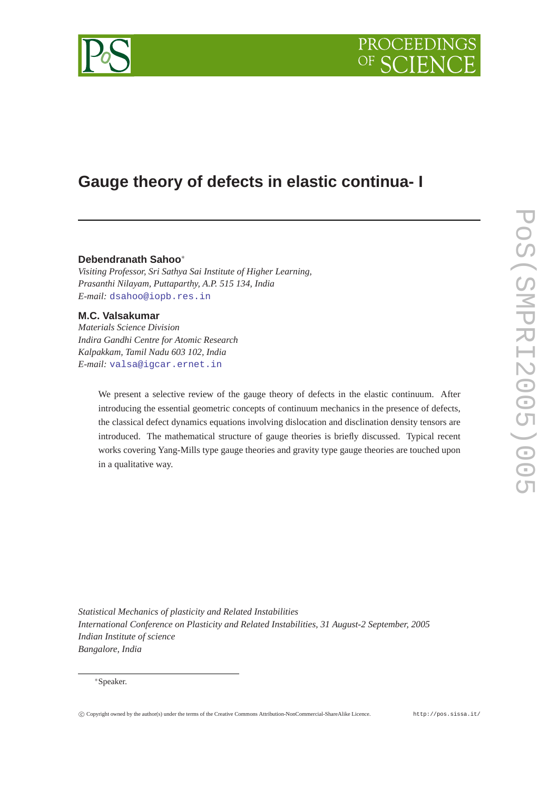



# **Gauge theory of defects in elastic continua- I**

## **Debendranath Sahoo**<sup>∗</sup>

*Visiting Professor, Sri Sathya Sai Institute of Higher Learning, Prasanthi Nilayam, Puttaparthy, A.P. 515 134, India E-mail:* [dsahoo@iopb.res.in](mailto:dsahoo@iopb.res.in)

# **M.C. Valsakumar**

*Materials Science Division Indira Gandhi Centre for Atomic Research Kalpakkam, Tamil Nadu 603 102, India E-mail:* [valsa@igcar.ernet.in](mailto:valsa@igcar.ernet.in)

> We present a selective review of the gauge theory of defects in the elastic continuum. After introducing the essential geometric concepts of continuum mechanics in the presence of defects, the classical defect dynamics equations involving dislocation and disclination density tensors are introduced. The mathematical structure of gauge theories is briefly discussed. Typical recent works covering Yang-Mills type gauge theories and gravity type gauge theories are touched upon in a qualitative way.

*Statistical Mechanics of plasticity and Related Instabilities International Conference on Plasticity and Related Instabilities, 31 August-2 September, 2005 Indian Institute of science Bangalore, India*

#### <sup>∗</sup>Speaker.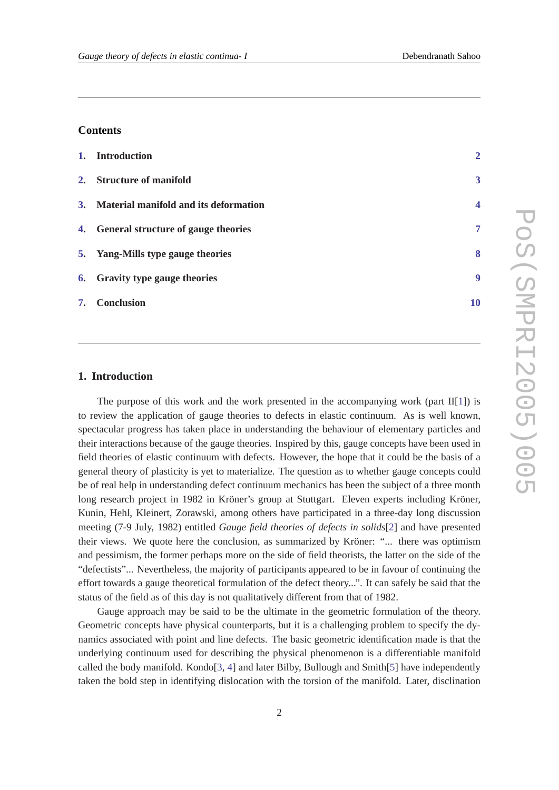# **Contents**

| 1. Introduction                          | $\overline{2}$          |
|------------------------------------------|-------------------------|
| 2. Structure of manifold                 | 3                       |
| 3. Material manifold and its deformation | $\overline{\mathbf{4}}$ |
| 4. General structure of gauge theories   | 7                       |
| 5. Yang-Mills type gauge theories        | 8                       |
| 6. Gravity type gauge theories           | 9                       |
| 7. Conclusion                            | 10                      |

## **1. Introduction**

The purpose of this work and the work presented in the accompanying work (part  $II[1]$  $II[1]$ ) is to review the application of gauge theories to defects in elastic continuum. As is well known, spectacular progress has taken place in understanding the behaviour of elementary particles and their interactions because of the gauge theories. Inspired by this, gauge concepts have been used in field theories of elastic continuum with defects. However, the hope that it could be the basis of a general theory of plasticity is yet to materialize. The question as to whether gauge concepts could be of real help in understanding defect continuum mechanics has been the subject of a three month long research project in 1982 in Kröner's group at Stuttgart. Eleven experts including Kröner, Kunin, Hehl, Kleinert, Zorawski, among others have participated in a three-day long discussion meeting (7-9 July, 1982) entitled *Gauge field theories of defects in solids*[\[2\]](#page-9-0) and have presented their views. We quote here the conclusion, as summarized by Kröner: "... there was optimism and pessimism, the former perhaps more on the side of field theorists, the latter on the side of the "defectists"... Nevertheless, the majority of participants appeared to be in favour of continuing the effort towards a gauge theoretical formulation of the defect theory...". It can safely be said that the status of the field as of this day is not qualitatively different from that of 1982.

Gauge approach may be said to be the ultimate in the geometric formulation of the theory. Geometric concepts have physical counterparts, but it is a challenging problem to specify the dynamics associated with point and line defects. The basic geometric identification made is that the underlying continuum used for describing the physical phenomenon is a differentiable manifold called the body manifold. Kondo[\[3,](#page-9-0) [4\]](#page-9-0) and later Bilby, Bullough and Smith[\[5\]](#page-9-0) have independently taken the bold step in identifying dislocation with the torsion of the manifold. Later, disclination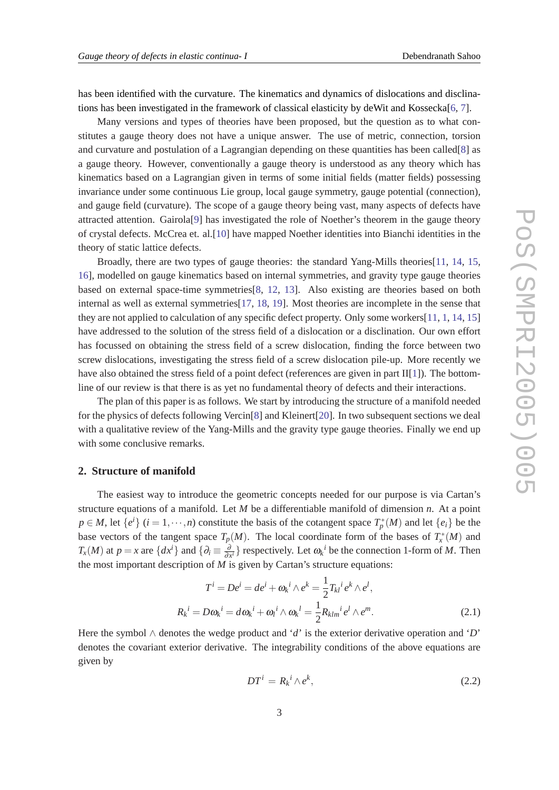<span id="page-2-0"></span>has been identified with the curvature. The kinematics and dynamics of dislocations and disclina-tions has been investigated in the framework of classical elasticity by deWit and Kossecka[[6](#page-9-0), [7](#page-9-0)].

Many versions and types of theories have been proposed, but the question as to what constitutes a gauge theory does not have a unique answer. The use of metric, connection, torsion and curvature and postulation of a Lagrangian depending on these quantities has been called[[8](#page-9-0)] as a gauge theory. However, conventionally a gauge theory is understood as any theory which has kinematics based on a Lagrangian given in terms of some initial fields (matter fields) possessing invariance under some continuous Lie group, local gauge symmetry, gauge potential (connection), and gauge field (curvature). The scope of a gauge theory being vast, many aspects of defects have attracted attention. Gairola[[9](#page-9-0)] has investigated the role of Noether's theorem in the gauge theory of crystal defects. McCrea et. al.[\[10](#page-9-0)] have mapped Noether identities into Bianchi identities in the theory of static lattice defects.

Broadly, there are two types of gauge theories: the standard Yang-Mills theories[\[11](#page-10-0), [14](#page-10-0), [15](#page-10-0), [16](#page-10-0)], modelled on gauge kinematics based on internal symmetries, and gravity type gauge theories based on external space-time symmetries[\[8,](#page-9-0) [12,](#page-10-0) [13\]](#page-10-0). Also existing are theories based on both internal as well as external symmetries[[17,](#page-10-0) [18](#page-10-0), [19\]](#page-10-0). Most theories are incomplete in the sense that they are not applied to calculation of any specific defect property. Only some workers[\[11](#page-10-0), [1](#page-9-0), [14](#page-10-0), [15](#page-10-0)] have addressed to the solution of the stress field of a dislocation or a disclination. Our own effort has focussed on obtaining the stress field of a screw dislocation, finding the force between two screw dislocations, investigating the stress field of a screw dislocation pile-up. More recently we have also obtained the stress field of a point defect (references are given in part II[\[1\]](#page-9-0)). The bottomline of our review is that there is as yet no fundamental theory of defects and their interactions.

The plan of this paper is as follows. We start by introducing the structure of a manifold needed for the physics of defects following Vercin[[8](#page-9-0)] and Kleinert[[20\]](#page-10-0). In two subsequent sections we deal with a qualitative review of the Yang-Mills and the gravity type gauge theories. Finally we end up with some conclusive remarks.

#### **2. Structure of manifold**

The easiest way to introduce the geometric concepts needed for our purpose is via Cartan's structure equations of a manifold. Let *M* be a differentiable manifold of dimension *n*. At a point  $p \in M$ , let  $\{e^i\}$   $(i = 1, \dots, n)$  constitute the basis of the cotangent space  $T_p^*(M)$  and let  $\{e_i\}$  be the base vectors of the tangent space  $T_p(M)$ . The local coordinate form of the bases of  $T^*_x(M)$  and *T<sub>x</sub>*(*M*) at *p* = *x* are { $dx$ <sup>*i*</sup>} and { $\partial_i \equiv \frac{\partial}{\partial x^i}$ } respectively. Let  $\omega_k$ <sup>*i*</sup> be the connection 1-form of *M*. Then the most important description of *M* is given by Cartan's structure equations:

$$
T^{i} = De^{i} = de^{i} + \omega_{k}^{i} \wedge e^{k} = \frac{1}{2} T_{kl}^{i} e^{k} \wedge e^{l},
$$
  

$$
R_{k}^{i} = D\omega_{k}^{i} = d\omega_{k}^{i} + \omega_{l}^{i} \wedge \omega_{k}^{l} = \frac{1}{2} R_{klm}^{i} e^{l} \wedge e^{m}.
$$
 (2.1)

Here the symbol ∧ denotes the wedge product and '*d*' is the exterior derivative operation and '*D*' denotes the covariant exterior derivative. The integrability conditions of the above equations are given by

$$
DT^i = R_k{}^i \wedge e^k,\tag{2.2}
$$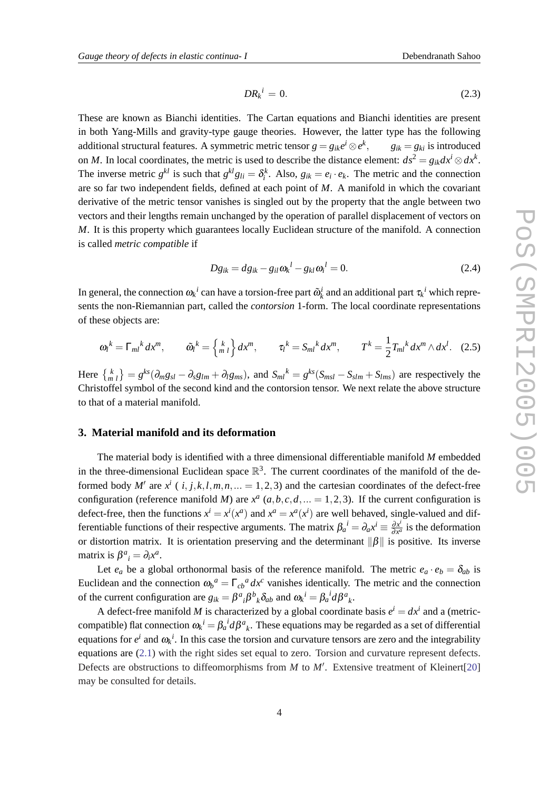$$
DR_k^i = 0. \tag{2.3}
$$

<span id="page-3-0"></span>These are known as Bianchi identities. The Cartan equations and Bianchi identities are present in both Yang-Mills and gravity-type gauge theories. However, the latter type has the following additional structural features. A symmetric metric tensor  $g = g_{ik}e^i \otimes e^k$  $g_{ik} = g_{ki}$  is introduced on *M*. In local coordinates, the metric is used to describe the distance element:  $ds^2 = g_{ik}dx^i \otimes dx^k$ . The inverse metric  $g^{kl}$  is such that  $g^{kl}g_{li} = \delta_i^k$ . Also,  $g_{ik} = e_i \cdot e_k$ . The metric and the connection are so far two independent fields, defined at each point of *M*. A manifold in which the covariant derivative of the metric tensor vanishes is singled out by the property that the angle between two vectors and their lengths remain unchanged by the operation of parallel displacement of vectors on *M*. It is this property which guarantees locally Euclidean structure of the manifold. A connection is called *metric compatible* if

$$
Dg_{ik} = dg_{ik} - g_{il}\omega_k^l - g_{kl}\omega_i^l = 0.
$$
\n(2.4)

In general, the connection  $\omega_k^i$  can have a torsion-free part  $\tilde{\omega}_k^i$  and an additional part  $\tau_k^i$  which represents the non-Riemannian part, called the *contorsion* 1-form. The local coordinate representations of these objects are:

$$
\omega_l^k = \Gamma_{ml}^k dx^m, \qquad \tilde{\omega_l}^k = \begin{Bmatrix} k \\ m \end{Bmatrix} dx^m, \qquad \tau_l^k = S_{ml}^k dx^m, \qquad T^k = \frac{1}{2} T_{ml}^k dx^m \wedge dx^l. \tag{2.5}
$$

Here  $\{^k_{m_l}\} = g^{ks}(\partial_m g_{sl} - \partial_s g_{lm} + \partial_l g_{ms})$ , and  $S_{ml}^k = g^{ks}(S_{msl} - S_{slm} + S_{lms})$  are respectively the Christoffel symbol of the second kind and the contorsion tensor. We next relate the above structure to that of a material manifold.

## **3. Material manifold and its deformation**

The material body is identified with a three dimensional differentiable manifold *M* embedded in the three-dimensional Euclidean space  $\mathbb{R}^3$ . The current coordinates of the manifold of the deformed body M' are  $x^i$  ( $i, j, k, l, m, n, ... = 1, 2, 3$ ) and the cartesian coordinates of the defect-free configuration (reference manifold *M*) are  $x^a$  ( $a, b, c, d, ... = 1, 2, 3$ ). If the current configuration is defect-free, then the functions  $x^i = x^i(x^a)$  and  $x^a = x^a(x^i)$  are well behaved, single-valued and differentiable functions of their respective arguments. The matrix  $\beta_a^i = \partial_a x^i \equiv \frac{\partial x^i}{\partial x^i}$  $\frac{\partial x^i}{\partial x^a}$  is the deformation or distortion matrix. It is orientation preserving and the determinant  $\|\beta\|$  is positive. Its inverse matrix is  $\beta^a_{\ \ i} = \partial_i x^a$ .

Let  $e_a$  be a global orthonormal basis of the reference manifold. The metric  $e_a \cdot e_b = \delta_{ab}$  is Euclidean and the connection  $\omega_b^a = \Gamma_{cb}^a dx^c$  vanishes identically. The metric and the connection of the current configuration are  $g_{ik} = \beta^a{}_i \beta^b{}_k \delta_{ab}$  and  $\omega_k^i = \beta_a^i d\beta^a{}_k$ .

A defect-free manifold *M* is characterized by a global coordinate basis  $e^{i} = dx^{i}$  and a (metriccompatible) flat connection  $\omega_k{}^i = \beta_a{}^i d\beta^a{}_k$ . These equations may be regarded as a set of differential equations for  $e^i$  and  $\omega_k$ <sup>*i*</sup>. In this case the torsion and curvature tensors are zero and the integrability equations are [\(2.1\)](#page-2-0) with the right sides set equal to zero. Torsion and curvature represent defects. Defects are obstructions to diffeomorphisms from  $M$  to  $M'$ . Extensive treatment of Kleinert[\[20](#page-10-0)] may be consulted for details.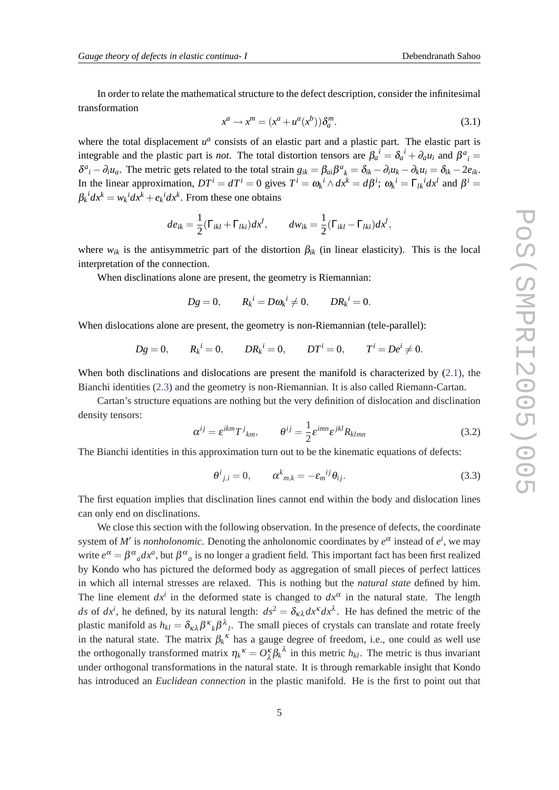In order to relate the mathematical structure to the defect description, consider the infinitesimal transformation

$$
x^{a} \rightarrow x^{m} = (x^{a} + u^{a}(x^{b})) \delta_{a}^{m}.
$$
\n(3.1)

where the total displacement  $u^a$  consists of an elastic part and a plastic part. The elastic part is integrable and the plastic part is *not*. The total distortion tensors are  $\beta_a^i = \delta_a^i + \partial_a u_i$  and  $\beta^a{}_i =$  $\delta^a{}_i - \partial_i u_a$ . The metric gets related to the total strain  $g_{ik} = \beta_{ai}\beta^a{}_k = \delta_{ik} - \partial_i u_k - \partial_k u_i = \delta_{ik} - 2e_{ik}$ . In the linear approximation,  $DT^i = dT^i = 0$  gives  $T^i = \omega_k{}^i \wedge dx^k = d\beta^i$ ;  $\omega_k{}^i = \Gamma_{lk}{}^i dx^l$  and  $\beta^i =$  $\beta_k^i dx^k = w_k^i dx^k + e_k^i dx^k$ . From these one obtains

$$
de_{ik} = \frac{1}{2}(\Gamma_{ikl} + \Gamma_{lki})dx^l, \qquad dw_{ik} = \frac{1}{2}(\Gamma_{ikl} - \Gamma_{lki})dx^l,
$$

where  $w_{ik}$  is the antisymmetric part of the distortion  $\beta_{ik}$  (in linear elasticity). This is the local interpretation of the connection.

When disclinations alone are present, the geometry is Riemannian:

*x*

$$
Dg = 0, \qquad R_k^i = D\omega_k^i \neq 0, \qquad D R_k^i = 0.
$$

When dislocations alone are present, the geometry is non-Riemannian (tele-parallel):

$$
Dg = 0
$$
,  $R_k^i = 0$ ,  $DR_k^i = 0$ ,  $DT^i = 0$ ,  $T^i = De^i \neq 0$ .

When both disclinations and dislocations are present the manifold is characterized by ([2.1](#page-2-0)), the Bianchi identities [\(2.3](#page-3-0)) and the geometry is non-Riemannian. It is also called Riemann-Cartan.

Cartan's structure equations are nothing but the very definition of dislocation and disclination density tensors:

$$
\alpha^{ij} = \varepsilon^{ikm} T^j{}_{km}, \qquad \theta^{ij} = \frac{1}{2} \varepsilon^{imn} \varepsilon^{jkl} R_{klmn} \tag{3.2}
$$

The Bianchi identities in this approximation turn out to be the kinematic equations of defects:

$$
\theta^{i}{}_{j,i} = 0, \qquad \alpha^{k}{}_{m,k} = -\varepsilon_{m}{}^{ij}\theta_{ij}.
$$

The first equation implies that disclination lines cannot end within the body and dislocation lines can only end on disclinations.

We close this section with the following observation. In the presence of defects, the coordinate system of *M'* is *nonholonomic*. Denoting the anholonomic coordinates by  $e^{\alpha}$  instead of  $e^{i}$ , we may write  $e^{\alpha} = \beta^{\alpha}{}_a dx^a$ , but  $\beta^{\alpha}{}_a$  is no longer a gradient field. This important fact has been first realized by Kondo who has pictured the deformed body as aggregation of small pieces of perfect lattices in which all internal stresses are relaxed. This is nothing but the *natural state* defined by him. The line element  $dx^i$  in the deformed state is changed to  $dx^\alpha$  in the natural state. The length *ds* of  $dx^i$ , he defined, by its natural length:  $ds^2 = \delta_{\kappa\lambda} dx^{\kappa} dx^{\lambda}$ . He has defined the metric of the plastic manifold as  $h_{kl} = \delta_{\kappa\lambda} \beta^{\kappa}{}_{k} \beta^{\lambda}{}_{l}$ . The small pieces of crystals can translate and rotate freely in the natural state. The matrix  $\beta_k^k$  has a gauge degree of freedom, i.e., one could as well use the orthogonally transformed matrix  $\eta_k^k = O_{\lambda}^k \beta_k^{\lambda}$  in this metric *h<sub>kl</sub>*. The metric is thus invariant under orthogonal transformations in the natural state. It is through remarkable insight that Kondo has introduced an *Euclidean connection* in the plastic manifold. He is the first to point out that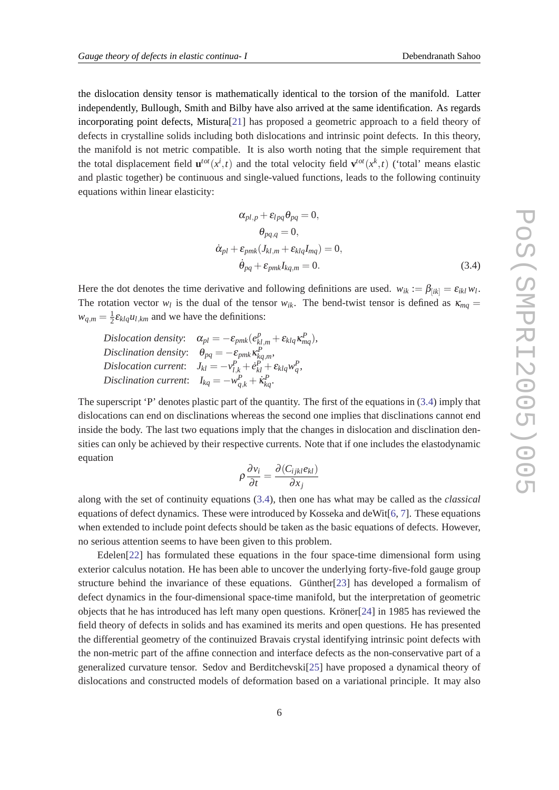the dislocation density tensor is mathematically identical to the torsion of the manifold. Latter independently, Bullough, Smith and Bilby have also arrived at the same identification. As regards incorporating point defects, Mistura[\[21](#page-10-0)] has proposed a geometric approach to a field theory of defects in crystalline solids including both dislocations and intrinsic point defects. In this theory, the manifold is not metric compatible. It is also worth noting that the simple requirement that the total displacement field  $\mathbf{u}^{tot}(x^i,t)$  and the total velocity field  $\mathbf{v}^{tot}(x^k,t)$  ('total' means elastic and plastic together) be continuous and single-valued functions, leads to the following continuity equations within linear elasticity:

$$
\alpha_{pl,p} + \varepsilon_{lpq} \theta_{pq} = 0,
$$
  
\n
$$
\theta_{pq,q} = 0,
$$
  
\n
$$
\dot{\alpha}_{pl} + \varepsilon_{pmk} (J_{kl,m} + \varepsilon_{klq} I_{mq}) = 0,
$$
  
\n
$$
\dot{\theta}_{pq} + \varepsilon_{pmk} I_{kq,m} = 0.
$$
\n(3.4)

Here the dot denotes the time derivative and following definitions are used.  $w_{ik} := \beta_{[ik]} = \varepsilon_{ikl} w_l$ . The rotation vector  $w_l$  is the dual of the tensor  $w_{ik}$ . The bend-twist tensor is defined as  $\kappa_{mq}$  $w_{q,m} = \frac{1}{2}$  $\frac{1}{2}$  $\varepsilon$ *<sub>klq</sub>u*<sub>*l*</sub>,*km*</sub> and we have the definitions:

*Dislocation density*:  $\alpha_{pl} = -\varepsilon_{pmk}(e_{kl,m}^p + \varepsilon_{klq}\kappa_{mq}^p),$ *Disclination density*:  $\theta_{pq} = -\varepsilon_{pmk} \kappa_{kq,m}^P$ , *Dislocation current:*  $J_{kl} = -v_{l,k}^P + e_{kl}^P + \varepsilon_{klq}^P w_q^P$ , *Disclination current:*  $I_{kq} = -w_{q,k}^P + k_{kq}^P$ .

The superscript 'P' denotes plastic part of the quantity. The first of the equations in (3.4) imply that dislocations can end on disclinations whereas the second one implies that disclinations cannot end inside the body. The last two equations imply that the changes in dislocation and disclination densities can only be achieved by their respective currents. Note that if one includes the elastodynamic equation

$$
\rho \frac{\partial v_i}{\partial t} = \frac{\partial (C_{ijkl} e_{kl})}{\partial x_j}
$$

along with the set of continuity equations (3.4), then one has what may be called as the *classical* equations of defect dynamics. These were introduced by Kosseka and deWit[\[6,](#page-9-0) [7](#page-9-0)]. These equations when extended to include point defects should be taken as the basic equations of defects. However, no serious attention seems to have been given to this problem.

Edelen[[22](#page-10-0)] has formulated these equations in the four space-time dimensional form using exterior calculus notation. He has been able to uncover the underlying forty-five-fold gauge group structure behind the invariance of these equations. Günther[\[23](#page-10-0)] has developed a formalism of defect dynamics in the four-dimensional space-time manifold, but the interpretation of geometric objects that he has introduced has left many open questions. Kröner[\[24](#page-10-0)] in 1985 has reviewed the field theory of defects in solids and has examined its merits and open questions. He has presented the differential geometry of the continuized Bravais crystal identifying intrinsic point defects with the non-metric part of the affine connection and interface defects as the non-conservative part of a generalized curvature tensor. Sedov and Berditchevski[\[25](#page-10-0)] have proposed a dynamical theory of dislocations and constructed models of deformation based on a variational principle. It may also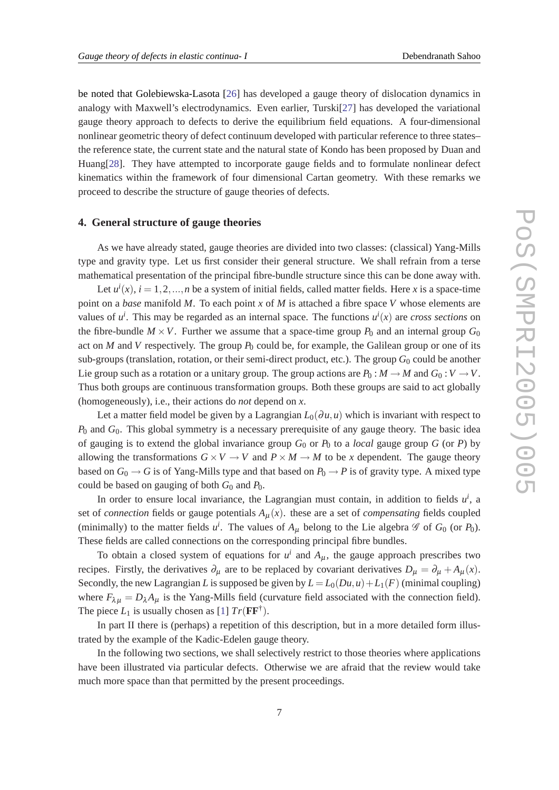<span id="page-6-0"></span>be noted that Golebiewska-Lasota [\[26](#page-10-0)] has developed a gauge theory of dislocation dynamics in analogy with Maxwell's electrodynamics. Even earlier, Turski[[27\]](#page-10-0) has developed the variational gauge theory approach to defects to derive the equilibrium field equations. A four-dimensional nonlinear geometric theory of defect continuum developed with particular reference to three states– the reference state, the current state and the natural state of Kondo has been proposed by Duan and Huang[\[28\]](#page-10-0). They have attempted to incorporate gauge fields and to formulate nonlinear defect kinematics within the framework of four dimensional Cartan geometry. With these remarks we proceed to describe the structure of gauge theories of defects.

## **4. General structure of gauge theories**

As we have already stated, gauge theories are divided into two classes: (classical) Yang-Mills type and gravity type. Let us first consider their general structure. We shall refrain from a terse mathematical presentation of the principal fibre-bundle structure since this can be done away with.

Let  $u^i(x)$ ,  $i = 1, 2, ..., n$  be a system of initial fields, called matter fields. Here *x* is a space-time point on a *base* manifold *M*. To each point *x* of *M* is attached a fibre space *V* whose elements are values of  $u^i$ . This may be regarded as an internal space. The functions  $u^i(x)$  are *cross sections* on the fibre-bundle  $M \times V$ . Further we assume that a space-time group  $P_0$  and an internal group  $G_0$ act on *M* and *V* respectively. The group  $P_0$  could be, for example, the Galilean group or one of its sub-groups (translation, rotation, or their semi-direct product, etc.). The group *G*<sub>0</sub> could be another Lie group such as a rotation or a unitary group. The group actions are  $P_0: M \to M$  and  $G_0: V \to V$ . Thus both groups are continuous transformation groups. Both these groups are said to act globally (homogeneously), i.e., their actions do *not* depend on *x*.

Let a matter field model be given by a Lagrangian  $L_0(\partial u, u)$  which is invariant with respect to *P*<sup>0</sup> and *G*0. This global symmetry is a necessary prerequisite of any gauge theory. The basic idea of gauging is to extend the global invariance group  $G_0$  or  $P_0$  to a *local* gauge group  $G$  (or  $P$ ) by allowing the transformations  $G \times V \to V$  and  $P \times M \to M$  to be x dependent. The gauge theory based on  $G_0 \rightarrow G$  is of Yang-Mills type and that based on  $P_0 \rightarrow P$  is of gravity type. A mixed type could be based on gauging of both *G*<sup>0</sup> and *P*0.

In order to ensure local invariance, the Lagrangian must contain, in addition to fields  $u^i$ , a set of *connection* fields or gauge potentials  $A_{\mu}(x)$ . these are a set of *compensating* fields coupled (minimally) to the matter fields  $u^i$ . The values of  $A_\mu$  belong to the Lie algebra  $\mathscr G$  of  $G_0$  (or  $P_0$ ). These fields are called connections on the corresponding principal fibre bundles.

To obtain a closed system of equations for  $u^i$  and  $A_\mu$ , the gauge approach prescribes two recipes. Firstly, the derivatives  $\partial_{\mu}$  are to be replaced by covariant derivatives  $D_{\mu} = \partial_{\mu} + A_{\mu}(x)$ . Secondly, the new Lagrangian *L* is supposed be given by  $L = L_0(Du, u) + L_1(F)$  (minimal coupling) where  $F_{\lambda\mu} = D_{\lambda}A_{\mu}$  is the Yang-Mills field (curvature field associated with the connection field). The piece  $L_1$  $L_1$  is usually chosen as [1]  $Tr(\mathbf{F}\mathbf{F}^{\dagger})$ .

In part II there is (perhaps) a repetition of this description, but in a more detailed form illustrated by the example of the Kadic-Edelen gauge theory.

In the following two sections, we shall selectively restrict to those theories where applications have been illustrated via particular defects. Otherwise we are afraid that the review would take much more space than that permitted by the present proceedings.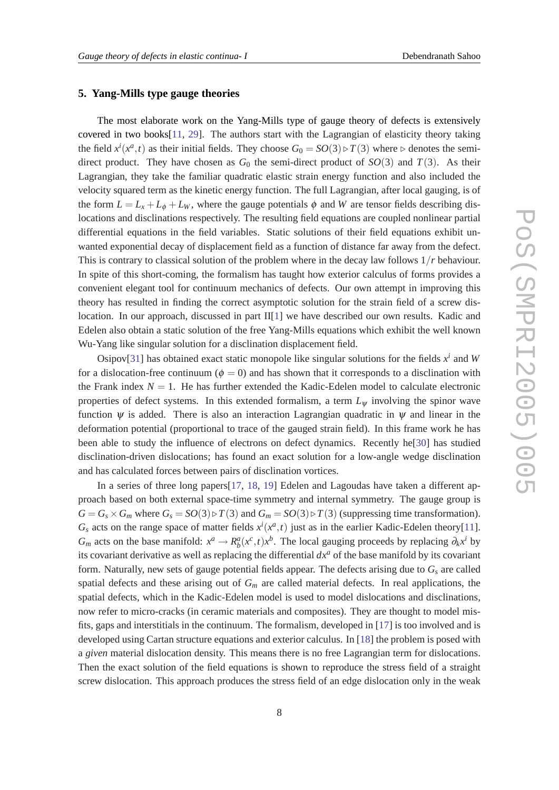#### <span id="page-7-0"></span>**5. Yang-Mills type gauge theories**

The most elaborate work on the Yang-Mills type of gauge theory of defects is extensively covered in two books $[11, 29]$  $[11, 29]$  $[11, 29]$ . The authors start with the Lagrangian of elasticity theory taking the field  $x^{i}(x^{a}, t)$  as their initial fields. They choose  $G_0 = SO(3) \triangleright T(3)$  where  $\triangleright$  denotes the semidirect product. They have chosen as  $G_0$  the semi-direct product of  $SO(3)$  and  $T(3)$ . As their Lagrangian, they take the familiar quadratic elastic strain energy function and also included the velocity squared term as the kinetic energy function. The full Lagrangian, after local gauging, is of the form  $L = L_x + L_\phi + L_w$ , where the gauge potentials  $\phi$  and W are tensor fields describing dislocations and disclinations respectively. The resulting field equations are coupled nonlinear partial differential equations in the field variables. Static solutions of their field equations exhibit unwanted exponential decay of displacement field as a function of distance far away from the defect. This is contrary to classical solution of the problem where in the decay law follows 1/*r* behaviour. In spite of this short-coming, the formalism has taught how exterior calculus of forms provides a convenient elegant tool for continuum mechanics of defects. Our own attempt in improving this theory has resulted in finding the correct asymptotic solution for the strain field of a screw dislocation. In our approach, discussed in part  $II[1]$  $II[1]$  we have described our own results. Kadic and Edelen also obtain a static solution of the free Yang-Mills equations which exhibit the well known Wu-Yang like singular solution for a disclination displacement field.

Osipov[[31\]](#page-10-0) has obtained exact static monopole like singular solutions for the fields  $x^i$  and W for a dislocation-free continuum ( $\phi = 0$ ) and has shown that it corresponds to a disclination with the Frank index  $N = 1$ . He has further extended the Kadic-Edelen model to calculate electronic properties of defect systems. In this extended formalism, a term *L*<sup>ψ</sup> involving the spinor wave function  $\psi$  is added. There is also an interaction Lagrangian quadratic in  $\psi$  and linear in the deformation potential (proportional to trace of the gauged strain field). In this frame work he has been able to study the influence of electrons on defect dynamics. Recently he[\[30](#page-10-0)] has studied disclination-driven dislocations; has found an exact solution for a low-angle wedge disclination and has calculated forces between pairs of disclination vortices.

In a series of three long papers[\[17](#page-10-0), [18](#page-10-0), [19\]](#page-10-0) Edelen and Lagoudas have taken a different approach based on both external space-time symmetry and internal symmetry. The gauge group is  $G = G_s \times G_m$  where  $G_s = SO(3) \triangleright T(3)$  and  $G_m = SO(3) \triangleright T(3)$  (suppressing time transformation).  $G_s$  acts on the range space of matter fields  $x^i(x^a, t)$  just as in the earlier Kadic-Edelen theory[[11\]](#page-10-0). *G<sub>m</sub>* acts on the base manifold:  $x^a \rightarrow R_b^a(x^c, t)x^b$ . The local gauging proceeds by replacing  $\partial_k x^i$  by its covariant derivative as well as replacing the differential *dx<sup>a</sup>* of the base manifold by its covariant form. Naturally, new sets of gauge potential fields appear. The defects arising due to *G<sup>s</sup>* are called spatial defects and these arising out of  $G<sub>m</sub>$  are called material defects. In real applications, the spatial defects, which in the Kadic-Edelen model is used to model dislocations and disclinations, now refer to micro-cracks (in ceramic materials and composites). They are thought to model misfits, gaps and interstitials in the continuum. The formalism, developed in [[17\]](#page-10-0) is too involved and is developed using Cartan structure equations and exterior calculus. In [[18\]](#page-10-0) the problem is posed with a *given* material dislocation density. This means there is no free Lagrangian term for dislocations. Then the exact solution of the field equations is shown to reproduce the stress field of a straight screw dislocation. This approach produces the stress field of an edge dislocation only in the weak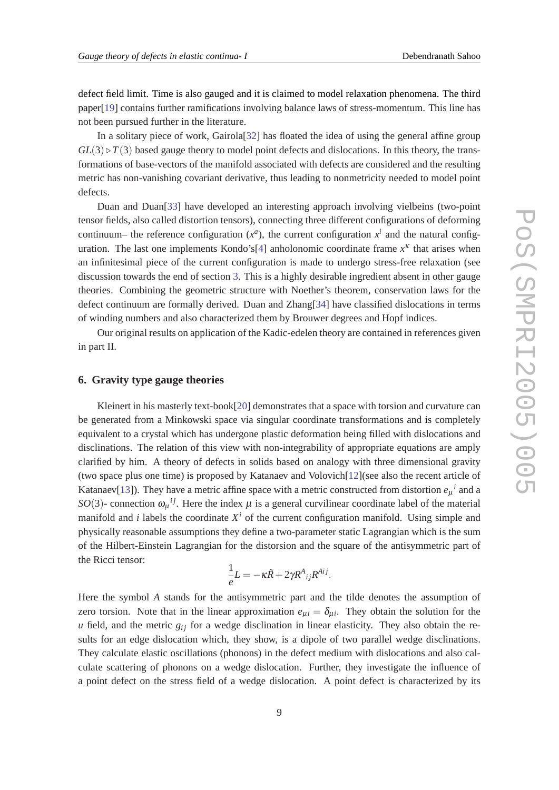<span id="page-8-0"></span>defect field limit. Time is also gauged and it is claimed to model relaxation phenomena. The third paper[\[19](#page-10-0)] contains further ramifications involving balance laws of stress-momentum. This line has not been pursued further in the literature.

In a solitary piece of work, Gairola[\[32](#page-11-0)] has floated the idea of using the general affine group  $GL(3) \triangleright T(3)$  based gauge theory to model point defects and dislocations. In this theory, the transformations of base-vectors of the manifold associated with defects are considered and the resulting metric has non-vanishing covariant derivative, thus leading to nonmetricity needed to model point defects.

Duan and Duan[\[33](#page-11-0)] have developed an interesting approach involving vielbeins (two-point tensor fields, also called distortion tensors), connecting three different configurations of deforming continuum– the reference configuration  $(x^a)$ , the current configuration  $x^i$  and the natural config-uration. The last one implements Kondo's<sup>[\[4\]](#page-9-0)</sup> anholonomic coordinate frame  $x<sup>k</sup>$  that arises when an infinitesimal piece of the current configuration is made to undergo stress-free relaxation (see discussion towards the end of section [3.](#page-3-0) This is a highly desirable ingredient absent in other gauge theories. Combining the geometric structure with Noether's theorem, conservation laws for the defect continuum are formally derived. Duan and Zhang[\[34](#page-11-0)] have classified dislocations in terms of winding numbers and also characterized them by Brouwer degrees and Hopf indices.

Our original results on application of the Kadic-edelen theory are contained in references given in part II.

#### **6. Gravity type gauge theories**

Kleinert in his masterly text-book[[20](#page-10-0)] demonstrates that a space with torsion and curvature can be generated from a Minkowski space via singular coordinate transformations and is completely equivalent to a crystal which has undergone plastic deformation being filled with dislocations and disclinations. The relation of this view with non-integrability of appropriate equations are amply clarified by him. A theory of defects in solids based on analogy with three dimensional gravity (two space plus one time) is proposed by Katanaev and Volovich[\[12](#page-10-0)](see also the recent article of Katanaev<sup>[[13\]](#page-10-0)</sup>). They have a metric affine space with a metric constructed from distortion  $e_\mu{}^i$  and a *SO*(3)- connection  $\omega_{\mu}^{ij}$ . Here the index  $\mu$  is a general curvilinear coordinate label of the material manifold and *i* labels the coordinate  $X^i$  of the current configuration manifold. Using simple and physically reasonable assumptions they define a two-parameter static Lagrangian which is the sum of the Hilbert-Einstein Lagrangian for the distorsion and the square of the antisymmetric part of the Ricci tensor:

$$
\frac{1}{e}L = -\kappa \tilde{R} + 2\gamma R^A{}_{ij}R^{Aij}.
$$

Here the symbol *A* stands for the antisymmetric part and the tilde denotes the assumption of zero torsion. Note that in the linear approximation  $e_{\mu i} = \delta_{\mu i}$ . They obtain the solution for the  $u$  field, and the metric  $g_{ij}$  for a wedge disclination in linear elasticity. They also obtain the results for an edge dislocation which, they show, is a dipole of two parallel wedge disclinations. They calculate elastic oscillations (phonons) in the defect medium with dislocations and also calculate scattering of phonons on a wedge dislocation. Further, they investigate the influence of a point defect on the stress field of a wedge dislocation. A point defect is characterized by its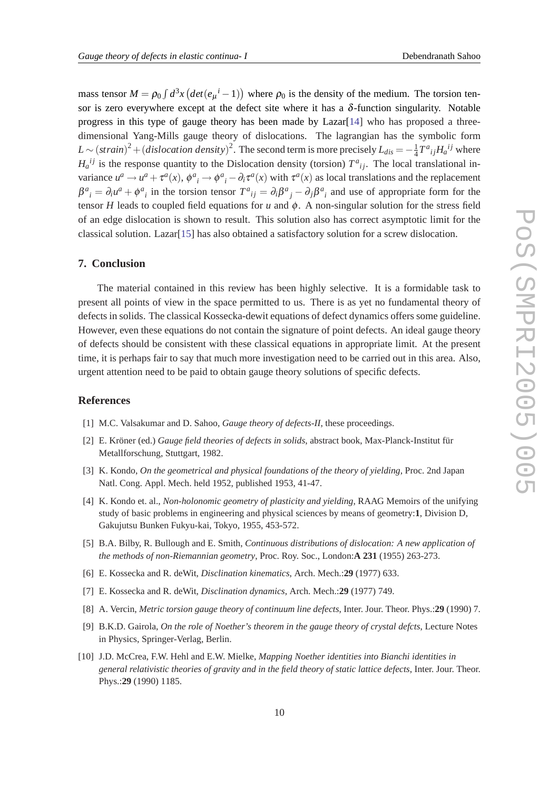<span id="page-9-0"></span>mass tensor  $M = \rho_0 \int d^3x \left( det(e_\mu{}^i - 1) \right)$  where  $\rho_0$  is the density of the medium. The torsion tensor is zero everywhere except at the defect site where it has a  $\delta$ -function singularity. Notable progress in this type of gauge theory has been made by  $Lazar[14]$  $Lazar[14]$  $Lazar[14]$  who has proposed a threedimensional Yang-Mills gauge theory of dislocations. The lagrangian has the symbolic form  $L \sim (strain)^2 + (dislocation density)^2$ . The second term is more precisely  $L_{dis} = -\frac{1}{4}$  $\frac{1}{4}T^a{}_{ij}H_a{}^{ij}$  where  $H_a^{ij}$  is the response quantity to the Dislocation density (torsion)  $T^a{}_{ij}$ . The local translational invariance  $u^a \to u^a + \tau^a(x)$ ,  $\phi^a{}_i \to \phi^a{}_i - \partial_i \tau^a(x)$  with  $\tau^a(x)$  as local translations and the replacement  $\beta^a{}_i = \partial_i u^a + \phi^a{}_i$  in the torsion tensor  $T^a{}_{ij} = \partial_i \beta^a{}_j - \partial_j \beta^a{}_i$  and use of appropriate form for the tensor *H* leads to coupled field equations for *u* and  $\phi$ . A non-singular solution for the stress field of an edge dislocation is shown to result. This solution also has correct asymptotic limit for the classical solution. Lazar[[15\]](#page-10-0) has also obtained a satisfactory solution for a screw dislocation.

## **7. Conclusion**

The material contained in this review has been highly selective. It is a formidable task to present all points of view in the space permitted to us. There is as yet no fundamental theory of defects in solids. The classical Kossecka-dewit equations of defect dynamics offers some guideline. However, even these equations do not contain the signature of point defects. An ideal gauge theory of defects should be consistent with these classical equations in appropriate limit. At the present time, it is perhaps fair to say that much more investigation need to be carried out in this area. Also, urgent attention need to be paid to obtain gauge theory solutions of specific defects.

#### **References**

- [1] M.C. Valsakumar and D. Sahoo, *Gauge theory of defects-II*, these proceedings.
- [2] E. Kröner (ed.) *Gauge field theories of defects in solids*, abstract book, Max-Planck-Institut für Metallforschung, Stuttgart, 1982.
- [3] K. Kondo, *On the geometrical and physical foundations of the theory of yielding*, Proc. 2nd Japan Natl. Cong. Appl. Mech. held 1952, published 1953, 41-47.
- [4] K. Kondo et. al., *Non-holonomic geometry of plasticity and yielding*, RAAG Memoirs of the unifying study of basic problems in engineering and physical sciences by means of geometry:**1**, Division D, Gakujutsu Bunken Fukyu-kai, Tokyo, 1955, 453-572.
- [5] B.A. Bilby, R. Bullough and E. Smith, *Continuous distributions of dislocation: A new application of the methods of non-Riemannian geometry*, Proc. Roy. Soc., London:**A 231** (1955) 263-273.
- [6] E. Kossecka and R. deWit, *Disclination kinematics*, Arch. Mech.:**29** (1977) 633.
- [7] E. Kossecka and R. deWit, *Disclination dynamics*, Arch. Mech.:**29** (1977) 749.
- [8] A. Vercin, *Metric torsion gauge theory of continuum line defects*, Inter. Jour. Theor. Phys.:**29** (1990) 7.
- [9] B.K.D. Gairola, *On the role of Noether's theorem in the gauge theory of crystal defcts*, Lecture Notes in Physics, Springer-Verlag, Berlin.
- [10] J.D. McCrea, F.W. Hehl and E.W. Mielke, *Mapping Noether identities into Bianchi identities in general relativistic theories of gravity and in the field theory of static lattice defects*, Inter. Jour. Theor. Phys.:**29** (1990) 1185.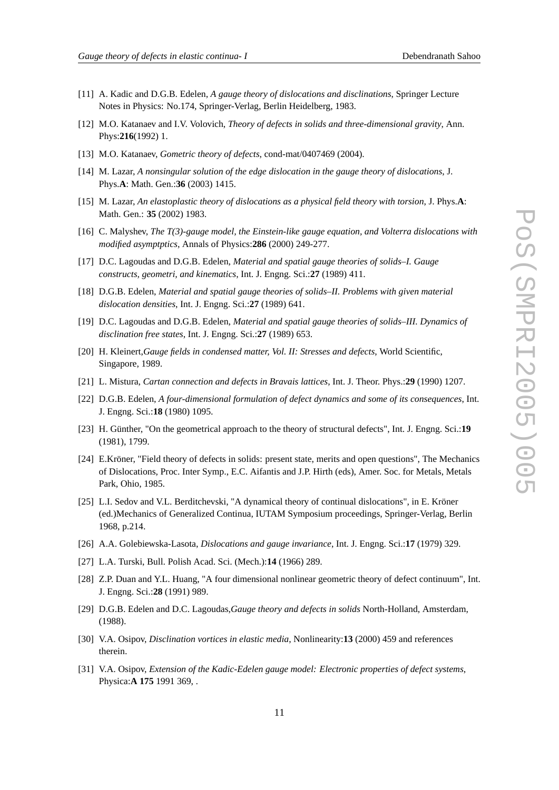- <span id="page-10-0"></span>[11] A. Kadic and D.G.B. Edelen, *A gauge theory of dislocations and disclinations*, Springer Lecture Notes in Physics: No.174, Springer-Verlag, Berlin Heidelberg, 1983.
- [12] M.O. Katanaev and I.V. Volovich, *Theory of defects in solids and three-dimensional gravity*, Ann. Phys:**216**(1992) 1.
- [13] M.O. Katanaev, *Gometric theory of defects*, cond-mat/0407469 (2004).
- [14] M. Lazar, *A nonsingular solution of the edge dislocation in the gauge theory of dislocations*, J. Phys.**A**: Math. Gen.:**36** (2003) 1415.
- [15] M. Lazar, *An elastoplastic theory of dislocations as a physical field theory with torsion*, J. Phys.**A**: Math. Gen.: **35** (2002) 1983.
- [16] C. Malyshev, *The T(3)-gauge model, the Einstein-like gauge equation, and Volterra dislocations with modified asymptptics*, Annals of Physics:**286** (2000) 249-277.
- [17] D.C. Lagoudas and D.G.B. Edelen, *Material and spatial gauge theories of solids–I. Gauge constructs, geometri, and kinematics*, Int. J. Engng. Sci.:**27** (1989) 411.
- [18] D.G.B. Edelen, *Material and spatial gauge theories of solids–II. Problems with given material dislocation densities*, Int. J. Engng. Sci.:**27** (1989) 641.
- [19] D.C. Lagoudas and D.G.B. Edelen, *Material and spatial gauge theories of solids–III. Dynamics of disclination free states*, Int. J. Engng. Sci.:**27** (1989) 653.
- [20] H. Kleinert,*Gauge fields in condensed matter, Vol. II: Stresses and defects*, World Scientific, Singapore, 1989.
- [21] L. Mistura, *Cartan connection and defects in Bravais lattices*, Int. J. Theor. Phys.:**29** (1990) 1207.
- [22] D.G.B. Edelen, *A four-dimensional formulation of defect dynamics and some of its consequences*, Int. J. Engng. Sci.:**18** (1980) 1095.
- [23] H. Günther, "On the geometrical approach to the theory of structural defects", Int. J. Engng. Sci.:**19** (1981), 1799.
- [24] E.Kröner, "Field theory of defects in solids: present state, merits and open questions", The Mechanics of Dislocations, Proc. Inter Symp., E.C. Aifantis and J.P. Hirth (eds), Amer. Soc. for Metals, Metals Park, Ohio, 1985.
- [25] L.I. Sedov and V.L. Berditchevski, "A dynamical theory of continual dislocations", in E. Kröner (ed.)Mechanics of Generalized Continua, IUTAM Symposium proceedings, Springer-Verlag, Berlin 1968, p.214.
- [26] A.A. Golebiewska-Lasota, *Dislocations and gauge invariance*, Int. J. Engng. Sci.:**17** (1979) 329.
- [27] L.A. Turski, Bull. Polish Acad. Sci. (Mech.):**14** (1966) 289.
- [28] Z.P. Duan and Y.L. Huang, "A four dimensional nonlinear geometric theory of defect continuum", Int. J. Engng. Sci.:**28** (1991) 989.
- [29] D.G.B. Edelen and D.C. Lagoudas,*Gauge theory and defects in solids* North-Holland, Amsterdam, (1988).
- [30] V.A. Osipov, *Disclination vortices in elastic media*, Nonlinearity:**13** (2000) 459 and references therein.
- [31] V.A. Osipov, *Extension of the Kadic-Edelen gauge model: Electronic properties of defect systems*, Physica:**A 175** 1991 369, .